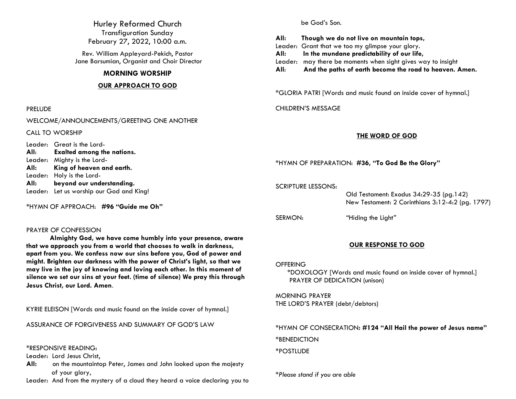Hurley Reformed Church Transfiguration Sunday February 27, 2022, 10:00 a.m.

Rev. William Appleyard-Pekich, Pastor Jane Barsumian, Organist and Choir Director

## **MORNING WORSHIP**

## **OUR APPROACH TO GOD**

#### PRELUDE

WELCOME/ANNOUNCEMENTS/GREETING ONE ANOTHER

CALL TO WORSHIP

Leader: Great is the Lord-**All**: **Exalted among the nations.** Leader: Mighty is the Lord-**All: King of heaven and earth.** Leader: Holy is the Lord-**All: beyond our understanding.** Leader: Let us worship our God and King!

\*HYMN OF APPROACH: **#96 "Guide me Oh"**

## PRAYER OF CONFESSION

**Almighty God, we have come humbly into your presence, aware that we approach you from a world that chooses to walk in darkness, apart from you. We confess now our sins before you, God of power and might. Brighten our darkness with the power of Christ's light, so that we may live in the joy of knowing and loving each other. In this moment of silence we set our sins at your feet. (time of silence) We pray this through Jesus Christ, our Lord. Amen**.

KYRIE ELEISON [Words and music found on the inside cover of hymnal.]

ASSURANCE OF FORGIVENESS AND SUMMARY OF GOD'S LAW

## \*RESPONSIVE READING:

Leader: Lord Jesus Christ,

**All:** on the mountaintop Peter, James and John looked upon the majesty of your glory,

Leader: And from the mystery of a cloud they heard a voice declaring you to

be God's Son.

| All:   | Though we do not live on mountain tops,                      |
|--------|--------------------------------------------------------------|
|        | Leader: Grant that we too my glimpse your glory.             |
| All: I | In the mundane predictability of our life,                   |
|        | Leader: may there be moments when sight gives way to insight |
| All:   | And the paths of earth become the road to heaven. Amen.      |
|        |                                                              |

\*GLORIA PATRI [Words and music found on inside cover of hymnal.]

CHILDREN'S MESSAGE

# **THE WORD OF GOD**

\*HYMN OF PREPARATION: **#36, "To God Be the Glory"**

SCRIPTURE LESSONS:

 Old Testament: Exodus 34:29-35 (pg.142) New Testament: 2 Corinthians 3:12-4:2 (pg. 1797)

SERMON: *"*Hiding the Light*"*

# **OUR RESPONSE TO GOD**

**OFFERING** \*DOXOLOGY [Words and music found on inside cover of hymnal.] PRAYER OF DEDICATION (unison)

MORNING PRAYER THE LORD'S PRAYER (debt/debtors)

\*HYMN OF CONSECRATION**: #124 "All Hail the power of Jesus name"**

\*BENEDICTION

\*POSTLUDE

*\*Please stand if you are able*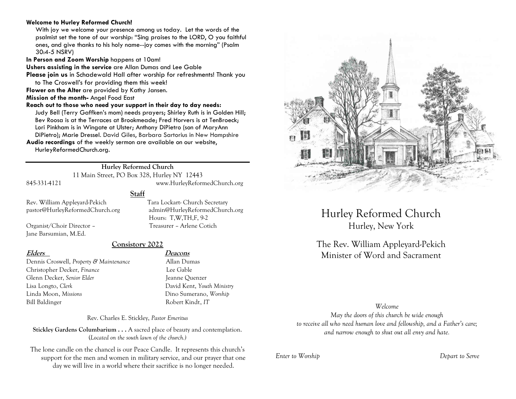#### **Welcome to Hurley Reformed Church!**

With joy we welcome your presence among us today. Let the words of the psalmist set the tone of our worship: "Sing praises to the LORD, O you faithful ones, and give thanks to his holy name--joy comes with the morning" (Psalm 30:4-5 NSRV)

**In Person and Zoom Worship** happens at 10am!

**Ushers assisting in the service** are Allan Dumas and Lee Gable

**Please join us** in Schadewald Hall after worship for refreshments! Thank you to The Croswell's for providing them this week!

**Flower on the Alter** are provided by Kathy Jansen.

**Mission of the month-** Angel Food East

#### **Reach out to those who need your support in their day to day needs:**

Judy Bell (Terry Gaffken's mom) needs prayers; Shirley Ruth is in Golden Hill; Bev Roosa is at the Terraces at Brookmeade; Fred Horvers is at TenBroeck; Lori Pinkham is in Wingate at Ulster; Anthony DiPietro (son of MaryAnn DiPietro); Marie Dressel. David Giles, Barbara Sartorius in New Hampshire

**Audio recordings** of the weekly sermon are available on our website, HurleyReformedChurch.org.

# **Hurley Reformed Church**

11 Main Street, PO Box 328, Hurley NY 12443 845-331-4121 www.HurleyReformedChurch.org

# **Staff**

Rev. William Appleyard-Pekich Tara Lockart- Church Secretary pastor@HurleyReformedChurch.org admin@HurleyReformedChurch.org

Organist/Choir Director – Treasurer – Arlene Cotich Jane Barsumian, M.Ed.

# **Consistory 2022**

Dennis Croswell, *Property & Maintenance* Allan Dumas Christopher Decker, *Finance* Lee Gable Glenn Decker, *Senior Elder* Jeanne Ouenzer Lisa Longto, *Clerk* David Kent, *Youth Ministry* Linda Moon, *Missions* Dino Sumerano, *Worship* Bill Baldinger Robert Kindt, *IT*

**Elders Deacons**

Hours: T,W,TH,F, 9-2

Rev. Charles E. Stickley, *Pastor Emeritus*

**Stickley Gardens Columbarium . . .** A sacred place of beauty and contemplation. (*Located on the south lawn of the church.)* 

The lone candle on the chancel is our Peace Candle. It represents this church's support for the men and women in military service, and our prayer that one day we will live in a world where their sacrifice is no longer needed.



Hurley Reformed Church Hurley, New York

The Rev. William Appleyard-Pekich Minister of Word and Sacrament

## *Welcome*

*May the doors of this church be wide enough to receive all who need human love and fellowship, and a Father's care; and narrow enough to shut out all envy and hate.*

*Enter to Worship Depart to Serve*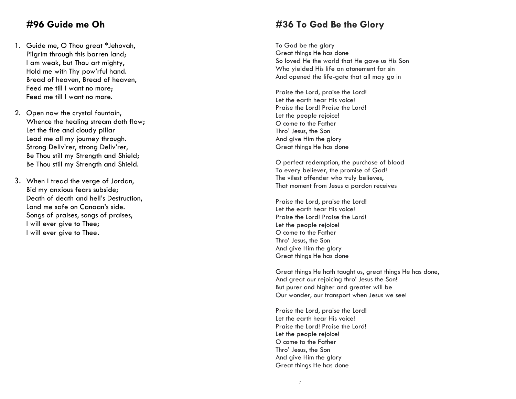# **#96 Guide me Oh**

- 1. Guide me, O Thou great \*Jehovah, Pilgrim through this barren land; I am weak, but Thou art mighty, Hold me with Thy pow'rful hand. Bread of heaven, Bread of heaven, Feed me till I want no more; Feed me till I want no more.
- 2. Open now the crystal fountain, Whence the healing stream doth flow; Let the fire and cloudy pillar Lead me all my journey through. Strong Deliv'rer, strong Deliv'rer, Be Thou still my Strength and Shield; Be Thou still my Strength and Shield.
- 3. When I tread the verge of Jordan, Bid my anxious fears subside; Death of death and hell's Destruction, Land me safe on Canaan's side. Songs of praises, songs of praises, I will ever give to Thee; I will ever give to Thee.

# **#36 To God Be the Glory**

To God be the glory Great things He has done So loved He the world that He gave us His Son Who yielded His life an atonement for sin And opened the life -gate that all may go in

Praise the Lord, praise the Lord! Let the earth hear His voice! Praise the Lord! Praise the Lord! Let the people rejoice! O come to the Father Thro' Jesus, the Son And give Him the glory Great things He has done

O perfect redemption, the purchase of blood To every believer, the promise of God! The vilest offender who truly believes, That moment from Jesus a pardon receives

Praise the Lord, praise the Lord! Let the earth hear His voice! Praise the Lord! Praise the Lord! Let the people rejoice! O come to the Father Thro' Jesus, the Son And give Him the glory Great things He has done

Great things He hath taught us, great things He has done, And great our rejoicing thro' Jesus the Son! But purer and higher and greater will be Our wonder, our transport when Jesus we see!

Praise the Lord, praise the Lord! Let the earth hear His voice! Praise the Lord! Praise the Lord! Let the people rejoice! O come to the Father Thro' Jesus, the Son And give Him the glory Great things He has done

*:*